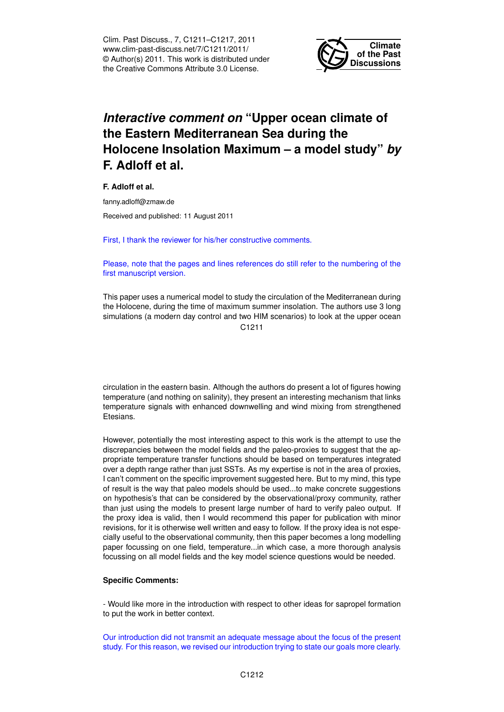Clim. Past Discuss., 7, C1211–C1217, 2011 www.clim-past-discuss.net/7/C1211/2011/ © Author(s) 2011. This work is distributed under the Creative Commons Attribute 3.0 License.



## *Interactive comment on* **"Upper ocean climate of the Eastern Mediterranean Sea during the Holocene Insolation Maximum – a model study"** *by* **F. Adloff et al.**

**F. Adloff et al.**

fanny.adloff@zmaw.de

Received and published: 11 August 2011

First, I thank the reviewer for his/her constructive comments.

Please, note that the pages and lines references do still refer to the numbering of the first manuscript version.

This paper uses a numerical model to study the circulation of the Mediterranean during the Holocene, during the time of maximum summer insolation. The authors use 3 long simulations (a modern day control and two HIM scenarios) to look at the upper ocean C1211

circulation in the eastern basin. Although the authors do present a lot of figures howing temperature (and nothing on salinity), they present an interesting mechanism that links temperature signals with enhanced downwelling and wind mixing from strengthened **Etesians** 

However, potentially the most interesting aspect to this work is the attempt to use the discrepancies between the model fields and the paleo-proxies to suggest that the appropriate temperature transfer functions should be based on temperatures integrated over a depth range rather than just SSTs. As my expertise is not in the area of proxies, I can't comment on the specific improvement suggested here. But to my mind, this type of result is the way that paleo models should be used...to make concrete suggestions on hypothesis's that can be considered by the observational/proxy community, rather than just using the models to present large number of hard to verify paleo output. If the proxy idea is valid, then I would recommend this paper for publication with minor revisions, for it is otherwise well written and easy to follow. If the proxy idea is not especially useful to the observational community, then this paper becomes a long modelling paper focussing on one field, temperature...in which case, a more thorough analysis focussing on all model fields and the key model science questions would be needed.

## **Specific Comments:**

- Would like more in the introduction with respect to other ideas for sapropel formation to put the work in better context.

Our introduction did not transmit an adequate message about the focus of the present study. For this reason, we revised our introduction trying to state our goals more clearly.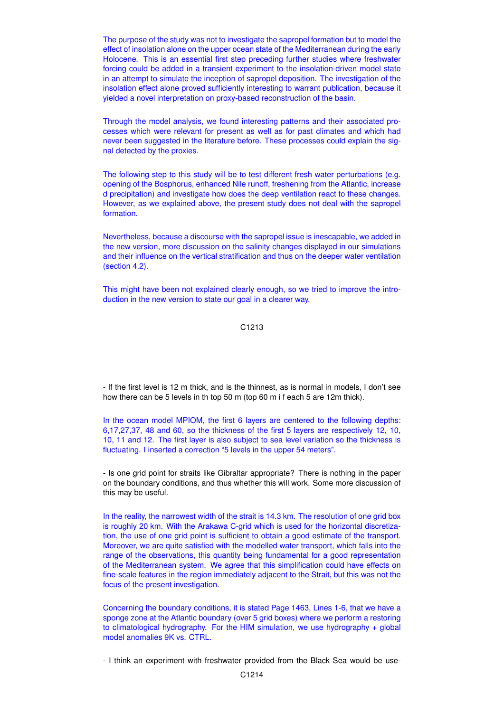The purpose of the study was not to investigate the sapropel formation but to model the effect of insolation alone on the upper ocean state of the Mediterranean during the early Holocene. This is an essential first step preceding further studies where freshwater forcing could be added in a transient experiment to the insolation-driven model state in an attempt to simulate the inception of sapropel deposition. The investigation of the insolation effect alone proved sufficiently interesting to warrant publication, because it yielded a novel interpretation on proxy-based reconstruction of the basin.

Through the model analysis, we found interesting patterns and their associated processes which were relevant for present as well as for past climates and which had never been suggested in the literature before. These processes could explain the signal detected by the proxies.

The following step to this study will be to test different fresh water perturbations (e.g. opening of the Bosphorus, enhanced Nile runoff, freshening from the Atlantic, increase d precipitation) and investigate how does the deep ventilation react to these changes. However, as we explained above, the present study does not deal with the sapropel formation.

Nevertheless, because a discourse with the sapropel issue is inescapable, we added in the new version, more discussion on the salinity changes displayed in our simulations and their influence on the vertical stratification and thus on the deeper water ventilation (section 4.2).

This might have been not explained clearly enough, so we tried to improve the introduction in the new version to state our goal in a clearer way.

C1213

- If the first level is 12 m thick, and is the thinnest, as is normal in models, I don't see how there can be 5 levels in th top 50 m (top 60 m i f each 5 are 12m thick).

In the ocean model MPIOM, the first 6 layers are centered to the following depths: 6,17,27,37, 48 and 60, so the thickness of the first 5 layers are respectively 12, 10, 10, 11 and 12. The first layer is also subject to sea level variation so the thickness is fluctuating. I inserted a correction "5 levels in the upper 54 meters".

- Is one grid point for straits like Gibraltar appropriate? There is nothing in the paper on the boundary conditions, and thus whether this will work. Some more discussion of this may be useful.

In the reality, the narrowest width of the strait is 14.3 km. The resolution of one grid box is roughly 20 km. With the Arakawa C-grid which is used for the horizontal discretization, the use of one grid point is sufficient to obtain a good estimate of the transport. Moreover, we are quite satisfied with the modelled water transport, which falls into the range of the observations, this quantity being fundamental for a good representation of the Mediterranean system. We agree that this simplification could have effects on fine-scale features in the region immediately adjacent to the Strait, but this was not the focus of the present investigation.

Concerning the boundary conditions, it is stated Page 1463, Lines 1-6, that we have a sponge zone at the Atlantic boundary (over 5 grid boxes) where we perform a restoring to climatological hydrography. For the HIM simulation, we use hydrography + global model anomalies 9K vs. CTRL.

- I think an experiment with freshwater provided from the Black Sea would be use-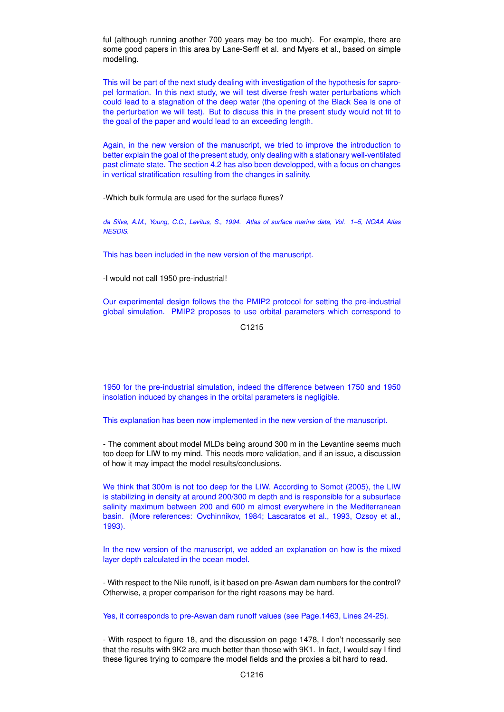ful (although running another 700 years may be too much). For example, there are some good papers in this area by Lane-Serff et al. and Myers et al., based on simple modelling.

This will be part of the next study dealing with investigation of the hypothesis for sapropel formation. In this next study, we will test diverse fresh water perturbations which could lead to a stagnation of the deep water (the opening of the Black Sea is one of the perturbation we will test). But to discuss this in the present study would not fit to the goal of the paper and would lead to an exceeding length.

Again, in the new version of the manuscript, we tried to improve the introduction to better explain the goal of the present study, only dealing with a stationary well-ventilated past climate state. The section 4.2 has also been developped, with a focus on changes in vertical stratification resulting from the changes in salinity.

-Which bulk formula are used for the surface fluxes?

*da Silva, A.M., Young, C.C., Levitus, S., 1994. Atlas of surface marine data, Vol. 1–5, NOAA Atlas NESDIS.*

This has been included in the new version of the manuscript.

-I would not call 1950 pre-industrial!

Our experimental design follows the the PMIP2 protocol for setting the pre-industrial global simulation. PMIP2 proposes to use orbital parameters which correspond to

C<sub>1215</sub>

1950 for the pre-industrial simulation, indeed the difference between 1750 and 1950 insolation induced by changes in the orbital parameters is negligible.

This explanation has been now implemented in the new version of the manuscript.

- The comment about model MLDs being around 300 m in the Levantine seems much too deep for LIW to my mind. This needs more validation, and if an issue, a discussion of how it may impact the model results/conclusions.

We think that 300m is not too deep for the LIW. According to Somot (2005), the LIW is stabilizing in density at around 200/300 m depth and is responsible for a subsurface salinity maximum between 200 and 600 m almost everywhere in the Mediterranean basin. (More references: Ovchinnikov, 1984; Lascaratos et al., 1993, Ozsoy et al., 1993).

In the new version of the manuscript, we added an explanation on how is the mixed layer depth calculated in the ocean model.

- With respect to the Nile runoff, is it based on pre-Aswan dam numbers for the control? Otherwise, a proper comparison for the right reasons may be hard.

Yes, it corresponds to pre-Aswan dam runoff values (see Page.1463, Lines 24-25).

- With respect to figure 18, and the discussion on page 1478, I don't necessarily see that the results with 9K2 are much better than those with 9K1. In fact, I would say I find these figures trying to compare the model fields and the proxies a bit hard to read.